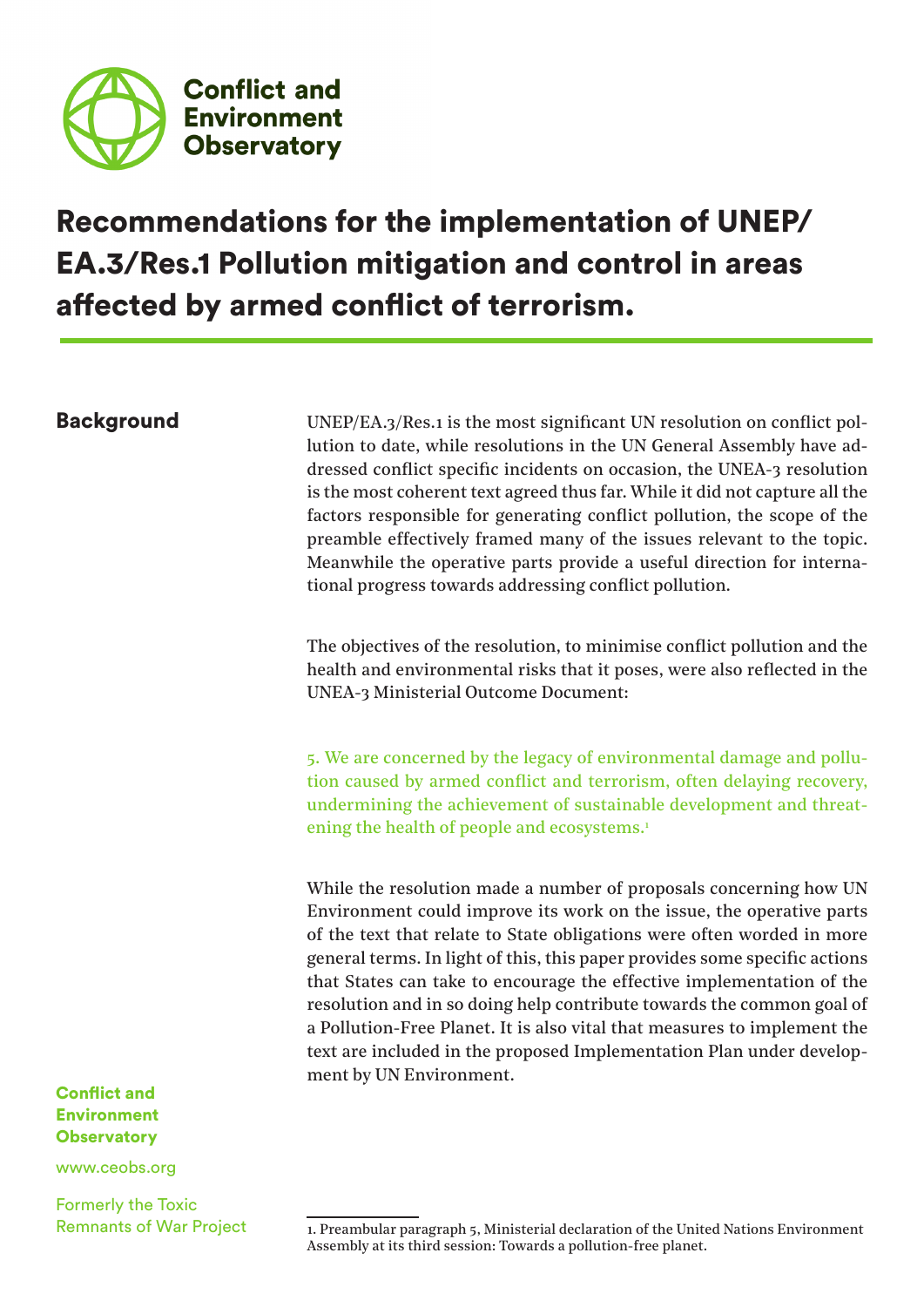

# Recommendations for the implementation of UNEP/ EA.3/Res.1 Pollution mitigation and control in areas affected by armed conflict of terrorism.

**Background** UNEP/EA.3/Res.1 is the most significant UN resolution on conflict pollution to date, while resolutions in the UN General Assembly have addressed conflict specific incidents on occasion, the UNEA-3 resolution is the most coherent text agreed thus far. While it did not capture all the factors responsible for generating conflict pollution, the scope of the preamble effectively framed many of the issues relevant to the topic. Meanwhile the operative parts provide a useful direction for international progress towards addressing conflict pollution.

> The objectives of the resolution, to minimise conflict pollution and the health and environmental risks that it poses, were also reflected in the UNEA-3 Ministerial Outcome Document:

> 5. We are concerned by the legacy of environmental damage and pollution caused by armed conflict and terrorism, often delaying recovery, undermining the achievement of sustainable development and threatening the health of people and ecosystems.<sup>1</sup>

> While the resolution made a number of proposals concerning how UN Environment could improve its work on the issue, the operative parts of the text that relate to State obligations were often worded in more general terms. In light of this, this paper provides some specific actions that States can take to encourage the effective implementation of the resolution and in so doing help contribute towards the common goal of a Pollution-Free Planet. It is also vital that measures to implement the text are included in the proposed Implementation Plan under development by UN Environment.

Conflict and Environment **Observatory** 

www.ceobs.org

Formerly the Toxic Remnants of War Project

<sup>1.</sup> Preambular paragraph 5, Ministerial declaration of the United Nations Environment Assembly at its third session: Towards a pollution-free planet.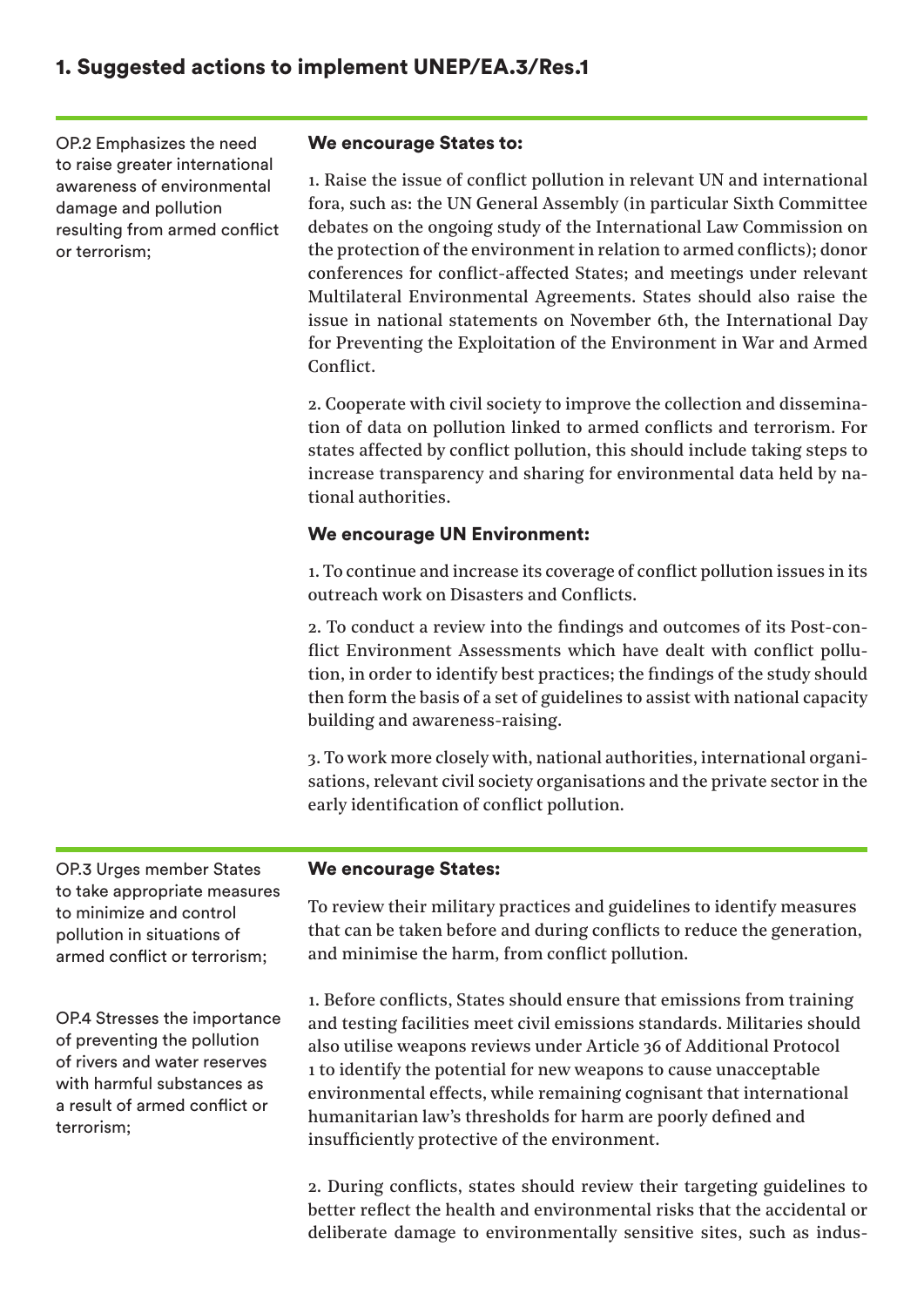OP.2 Emphasizes the need to raise greater international awareness of environmental damage and pollution resulting from armed conflict or terrorism;

#### We encourage States to:

1. Raise the issue of conflict pollution in relevant UN and international fora, such as: the UN General Assembly (in particular Sixth Committee debates on the ongoing study of the International Law Commission on the protection of the environment in relation to armed conflicts); donor conferences for conflict-affected States; and meetings under relevant Multilateral Environmental Agreements. States should also raise the issue in national statements on November 6th, the International Day for Preventing the Exploitation of the Environment in War and Armed Conflict.

2. Cooperate with civil society to improve the collection and dissemination of data on pollution linked to armed conflicts and terrorism. For states affected by conflict pollution, this should include taking steps to increase transparency and sharing for environmental data held by national authorities.

#### We encourage UN Environment:

1. To continue and increase its coverage of conflict pollution issues in its outreach work on Disasters and Conflicts.

2. To conduct a review into the findings and outcomes of its Post-conflict Environment Assessments which have dealt with conflict pollution, in order to identify best practices; the findings of the study should then form the basis of a set of guidelines to assist with national capacity building and awareness-raising.

3. To work more closely with, national authorities, international organisations, relevant civil society organisations and the private sector in the early identification of conflict pollution.

OP.3 Urges member States to take appropriate measures to minimize and control pollution in situations of armed conflict or terrorism;

OP.4 Stresses the importance of preventing the pollution of rivers and water reserves with harmful substances as a result of armed conflict or terrorism;

#### We encourage States:

To review their military practices and guidelines to identify measures that can be taken before and during conflicts to reduce the generation, and minimise the harm, from conflict pollution.

1. Before conflicts, States should ensure that emissions from training and testing facilities meet civil emissions standards. Militaries should also utilise weapons reviews under Article 36 of Additional Protocol 1 to identify the potential for new weapons to cause unacceptable environmental effects, while remaining cognisant that international humanitarian law's thresholds for harm are poorly defined and insufficiently protective of the environment.

2. During conflicts, states should review their targeting guidelines to better reflect the health and environmental risks that the accidental or deliberate damage to environmentally sensitive sites, such as indus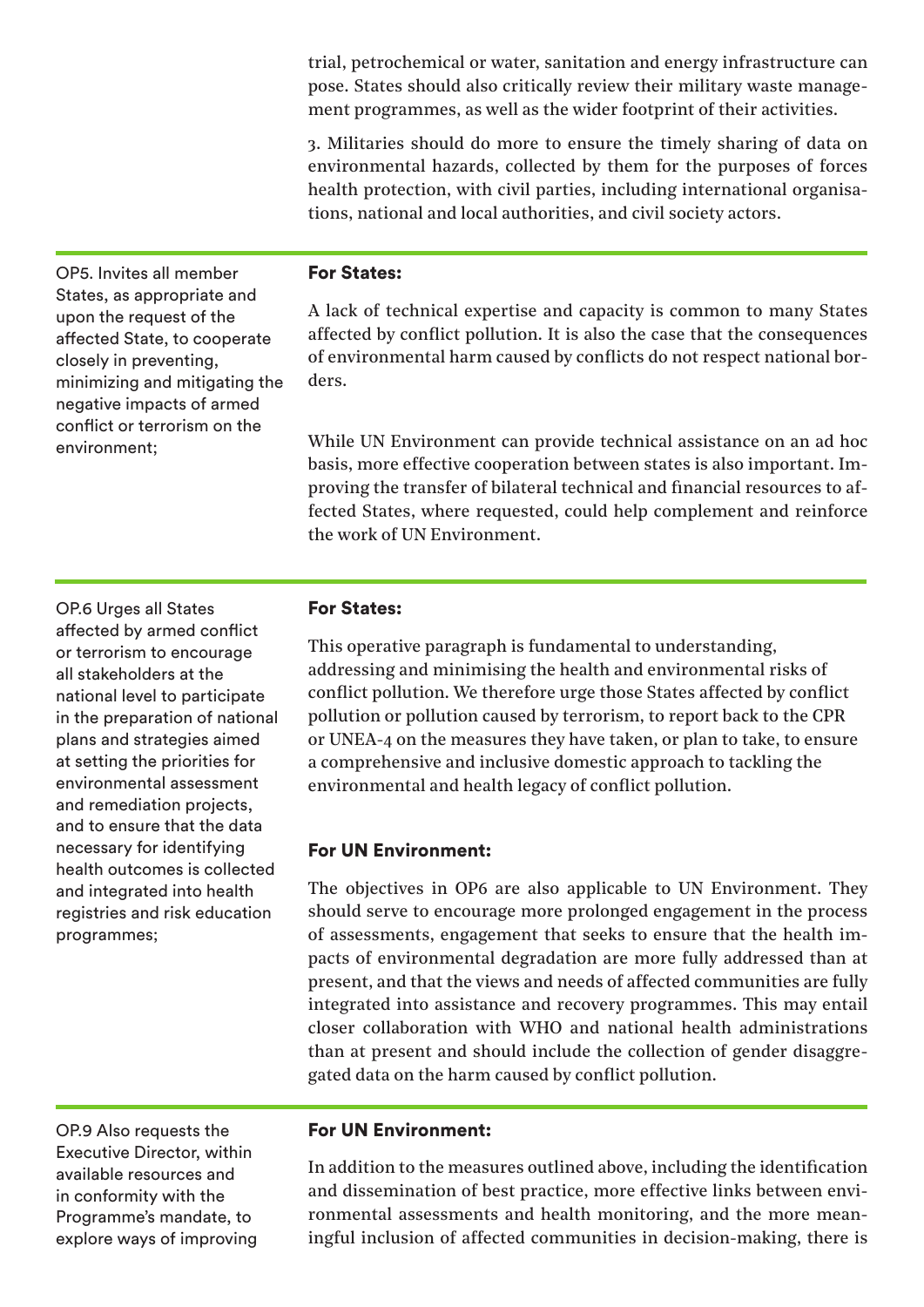trial, petrochemical or water, sanitation and energy infrastructure can pose. States should also critically review their military waste management programmes, as well as the wider footprint of their activities.

3. Militaries should do more to ensure the timely sharing of data on environmental hazards, collected by them for the purposes of forces health protection, with civil parties, including international organisations, national and local authorities, and civil society actors.

OP5. Invites all member States, as appropriate and upon the request of the affected State, to cooperate closely in preventing, minimizing and mitigating the negative impacts of armed conflict or terrorism on the environment;

### For States:

A lack of technical expertise and capacity is common to many States affected by conflict pollution. It is also the case that the consequences of environmental harm caused by conflicts do not respect national borders.

While UN Environment can provide technical assistance on an ad hoc basis, more effective cooperation between states is also important. Improving the transfer of bilateral technical and financial resources to affected States, where requested, could help complement and reinforce the work of UN Environment.

OP.6 Urges all States affected by armed conflict or terrorism to encourage all stakeholders at the national level to participate in the preparation of national plans and strategies aimed at setting the priorities for environmental assessment and remediation projects, and to ensure that the data necessary for identifying health outcomes is collected and integrated into health registries and risk education programmes;

#### For States:

This operative paragraph is fundamental to understanding, addressing and minimising the health and environmental risks of conflict pollution. We therefore urge those States affected by conflict pollution or pollution caused by terrorism, to report back to the CPR or UNEA-4 on the measures they have taken, or plan to take, to ensure a comprehensive and inclusive domestic approach to tackling the environmental and health legacy of conflict pollution.

#### For UN Environment:

The objectives in OP6 are also applicable to UN Environment. They should serve to encourage more prolonged engagement in the process of assessments, engagement that seeks to ensure that the health impacts of environmental degradation are more fully addressed than at present, and that the views and needs of affected communities are fully integrated into assistance and recovery programmes. This may entail closer collaboration with WHO and national health administrations than at present and should include the collection of gender disaggregated data on the harm caused by conflict pollution.

OP.9 Also requests the Executive Director, within available resources and in conformity with the Programme's mandate, to explore ways of improving

#### For UN Environment:

In addition to the measures outlined above, including the identification and dissemination of best practice, more effective links between environmental assessments and health monitoring, and the more meaningful inclusion of affected communities in decision-making, there is